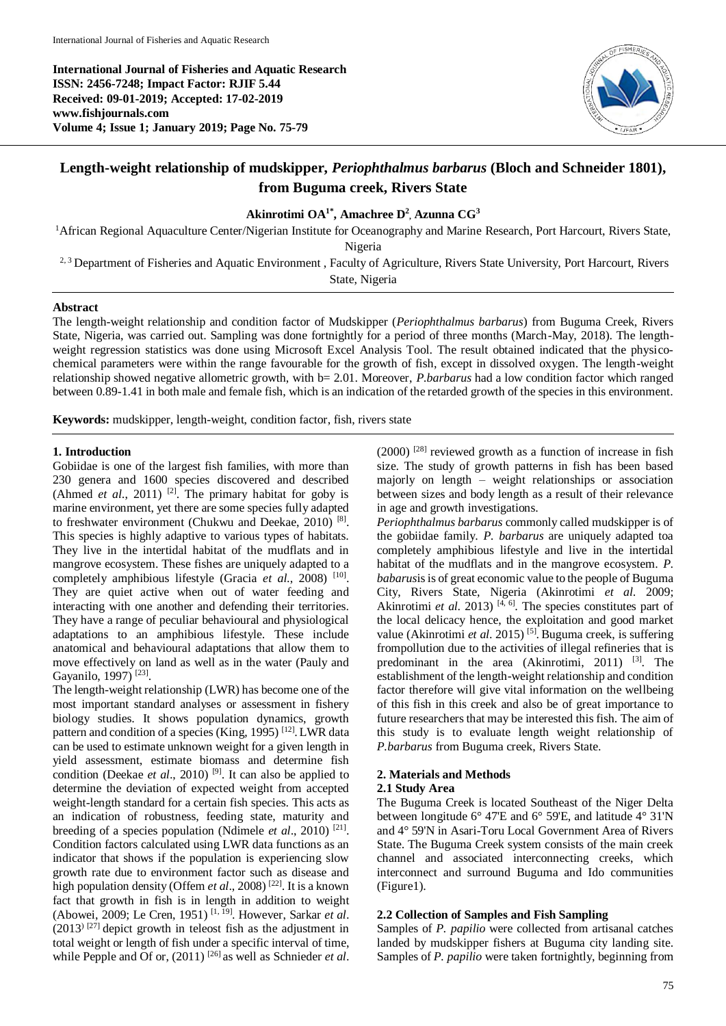**International Journal of Fisheries and Aquatic Research ISSN: 2456-7248; Impact Factor: RJIF 5.44 Received: 09-01-2019; Accepted: 17-02-2019 www.fishjournals.com Volume 4; Issue 1; January 2019; Page No. 75-79**



# **Length-weight relationship of mudskipper,** *Periophthalmus barbarus* **(Bloch and Schneider 1801), from Buguma creek, Rivers State**

## **Akinrotimi OA1\* , Amachree D 2 , Azunna CG<sup>3</sup>**

<sup>1</sup>African Regional Aquaculture Center/Nigerian Institute for Oceanography and Marine Research, Port Harcourt, Rivers State, Nigeria <sup>2, 3</sup> Department of Fisheries and Aquatic Environment , Faculty of Agriculture, Rivers State University, Port Harcourt, Rivers

State, Nigeria

### **Abstract**

The length-weight relationship and condition factor of Mudskipper (*Periophthalmus barbarus*) from Buguma Creek, Rivers State, Nigeria, was carried out. Sampling was done fortnightly for a period of three months (March-May, 2018). The lengthweight regression statistics was done using Microsoft Excel Analysis Tool. The result obtained indicated that the physicochemical parameters were within the range favourable for the growth of fish, except in dissolved oxygen. The length-weight relationship showed negative allometric growth, with b= 2.01. Moreover, *P.barbarus* had a low condition factor which ranged between 0.89-1.41 in both male and female fish, which is an indication of the retarded growth of the species in this environment.

**Keywords:** mudskipper, length-weight, condition factor, fish, rivers state

#### **1. Introduction**

Gobiidae is one of the largest fish families, with more than 230 genera and 1600 species discovered and described (Ahmed *et al.*, 2011)<sup>[2]</sup>. The primary habitat for goby is marine environment, yet there are some species fully adapted to freshwater environment (Chukwu and Deekae, 2010)<sup>[8]</sup>. This species is highly adaptive to various types of habitats. They live in the intertidal habitat of the mudflats and in mangrove ecosystem. These fishes are uniquely adapted to a completely amphibious lifestyle (Gracia et al., 2008)<sup>[10]</sup>. They are quiet active when out of water feeding and interacting with one another and defending their territories. They have a range of peculiar behavioural and physiological adaptations to an amphibious lifestyle. These include anatomical and behavioural adaptations that allow them to move effectively on land as well as in the water (Pauly and Gayanilo, 1997)<sup>[23]</sup>.

The length-weight relationship (LWR) has become one of the most important standard analyses or assessment in fishery biology studies. It shows population dynamics, growth pattern and condition of a species (King, 1995)<sup>[12]</sup>. LWR data can be used to estimate unknown weight for a given length in yield assessment, estimate biomass and determine fish condition (Deekae *et al.*, 2010)<sup>[9]</sup>. It can also be applied to determine the deviation of expected weight from accepted weight-length standard for a certain fish species. This acts as an indication of robustness, feeding state, maturity and breeding of a species population (Ndimele et al., 2010)<sup>[21]</sup>. Condition factors calculated using LWR data functions as an indicator that shows if the population is experiencing slow growth rate due to environment factor such as disease and high population density (Offem *et al.*, 2008)<sup>[22]</sup>. It is a known fact that growth in fish is in length in addition to weight (Abowei, 2009; Le Cren, 1951) [1, 19] . However, Sarkar *et al*.  $(2013)$ <sup>[27]</sup> depict growth in teleost fish as the adjustment in total weight or length of fish under a specific interval of time, while Pepple and Of or,  $(2011)^{26}$  as well as Schnieder *et al.*  (2000) [28] reviewed growth as a function of increase in fish size. The study of growth patterns in fish has been based majorly on length – weight relationships or association between sizes and body length as a result of their relevance in age and growth investigations.

*Periophthalmus barbarus* commonly called mudskipper is of the gobiidae family. *P. barbarus* are uniquely adapted toa completely amphibious lifestyle and live in the intertidal habitat of the mudflats and in the mangrove ecosystem. *P. babarus*is is of great economic value to the people of Buguma City, Rivers State, Nigeria (Akinrotimi *et al*. 2009; Akinrotimi *et al.* 2013)<sup>[4, 6]</sup>. The species constitutes part of the local delicacy hence, the exploitation and good market value (Akinrotimi et al. 2015)<sup>[5]</sup>. Buguma creek, is suffering frompollution due to the activities of illegal refineries that is predominant in the area (Akinrotimi, 2011)<sup>[3]</sup>. The establishment of the length-weight relationship and condition factor therefore will give vital information on the wellbeing of this fish in this creek and also be of great importance to future researchers that may be interested this fish. The aim of this study is to evaluate length weight relationship of *P.barbarus* from Buguma creek, Rivers State.

### **2. Materials and Methods**

#### **2.1 Study Area**

The Buguma Creek is located Southeast of the Niger Delta between longitude 6° 47'E and 6° 59'E, and latitude 4° 31'N and 4° 59'N in Asari-Toru Local Government Area of Rivers State. The Buguma Creek system consists of the main creek channel and associated interconnecting creeks, which interconnect and surround Buguma and Ido communities (Figure1).

### **2.2 Collection of Samples and Fish Sampling**

Samples of *P. papilio* were collected from artisanal catches landed by mudskipper fishers at Buguma city landing site. Samples of *P. papilio* were taken fortnightly, beginning from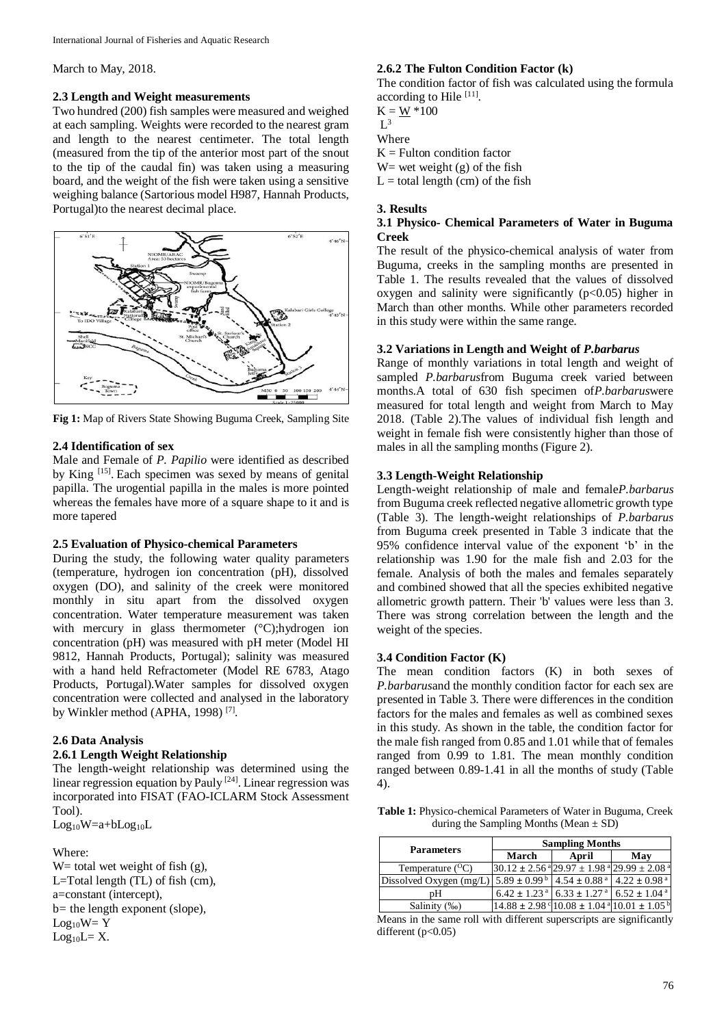March to May, 2018.

#### **2.3 Length and Weight measurements**

Two hundred (200) fish samples were measured and weighed at each sampling. Weights were recorded to the nearest gram and length to the nearest centimeter. The total length (measured from the tip of the anterior most part of the snout to the tip of the caudal fin) was taken using a measuring board, and the weight of the fish were taken using a sensitive weighing balance (Sartorious model H987, Hannah Products, Portugal)to the nearest decimal place.



**Fig 1:** Map of Rivers State Showing Buguma Creek, Sampling Site

### **2.4 Identification of sex**

Male and Female of *P. Papilio* were identified as described by King <sup>[15]</sup>. Each specimen was sexed by means of genital papilla. The urogential papilla in the males is more pointed whereas the females have more of a square shape to it and is more tapered

### **2.5 Evaluation of Physico-chemical Parameters**

During the study, the following water quality parameters (temperature, hydrogen ion concentration (pH), dissolved oxygen (DO), and salinity of the creek were monitored monthly in situ apart from the dissolved oxygen concentration. Water temperature measurement was taken with mercury in glass thermometer (°C);hydrogen ion concentration (pH) was measured with pH meter (Model HI 9812, Hannah Products, Portugal); salinity was measured with a hand held Refractometer (Model RE 6783, Atago Products, Portugal).Water samples for dissolved oxygen concentration were collected and analysed in the laboratory by Winkler method (APHA, 1998)<sup>[7]</sup>.

### **2.6 Data Analysis**

# **2.6.1 Length Weight Relationship**

The length-weight relationship was determined using the linear regression equation by Pauly<sup>[24]</sup>. Linear regression was incorporated into FISAT (FAO-ICLARM Stock Assessment Tool).

 $Log_{10}W=a+bLog_{10}L$ 

### Where:

W = total wet weight of fish  $(g)$ , L=Total length (TL) of fish (cm), a=constant (intercept), b*=* the length exponent (slope),  $Log_{10}W = Y$  $Log_{10}L = X$ .

### **2.6.2 The Fulton Condition Factor (k)**

The condition factor of fish was calculated using the formula according to Hile [11].

 $K = W * 100$  $L^3$ 

Where

 $K =$  Fulton condition factor

W = wet weight  $(g)$  of the fish

 $L =$  total length (cm) of the fish

#### **3. Results**

#### **3.1 Physico- Chemical Parameters of Water in Buguma Creek**

The result of the physico-chemical analysis of water from Buguma, creeks in the sampling months are presented in Table 1. The results revealed that the values of dissolved oxygen and salinity were significantly  $(p<0.05)$  higher in March than other months. While other parameters recorded in this study were within the same range.

#### **3.2 Variations in Length and Weight of** *P.barbarus*

Range of monthly variations in total length and weight of sampled *P.barbarus*from Buguma creek varied between months.A total of 630 fish specimen of*P.barbarus*were measured for total length and weight from March to May 2018. (Table 2).The values of individual fish length and weight in female fish were consistently higher than those of males in all the sampling months (Figure 2).

#### **3.3 Length-Weight Relationship**

Length-weight relationship of male and female*P.barbarus* from Buguma creek reflected negative allometric growth type (Table 3). The length-weight relationships of *P.barbarus* from Buguma creek presented in Table 3 indicate that the 95% confidence interval value of the exponent 'b' in the relationship was 1.90 for the male fish and 2.03 for the female. Analysis of both the males and females separately and combined showed that all the species exhibited negative allometric growth pattern. Their 'b' values were less than 3. There was strong correlation between the length and the weight of the species.

#### **3.4 Condition Factor (K)**

The mean condition factors (K) in both sexes of *P.barbarus*and the monthly condition factor for each sex are presented in Table 3. There were differences in the condition factors for the males and females as well as combined sexes in this study. As shown in the table, the condition factor for the male fish ranged from 0.85 and 1.01 while that of females ranged from 0.99 to 1.81. The mean monthly condition ranged between 0.89-1.41 in all the months of study (Table 4).

**Table 1:** Physico-chemical Parameters of Water in Buguma, Creek during the Sampling Months (Mean  $\pm$  SD)

| <b>Parameters</b>       | <b>Sampling Months</b> |                                                                                       |                              |  |
|-------------------------|------------------------|---------------------------------------------------------------------------------------|------------------------------|--|
|                         | March                  | April                                                                                 | Mav                          |  |
| Temperature $(^{O}C)$   |                        | $130.12 \pm 2.56$ $^{4}$ 29.97 $\pm$ 1.98 $^{4}$ 29.99 $\pm$ 2.08 $^{4}$              |                              |  |
| Dissolved Oxygen (mg/L) |                        | $5.89 \pm 0.99^{\text{ b}}$ 4.54 $\pm$ 0.88 <sup>a</sup> 4.22 $\pm$ 0.98 <sup>a</sup> |                              |  |
| pΗ                      |                        | $6.42 \pm 1.23$ <sup>a</sup> 6.33 $\pm 1.27$ <sup>a</sup>                             | $6.52 \pm 1.04$ <sup>a</sup> |  |
| Salinity (‰)            |                        | $14.88 \pm 2.98$ ° $10.08 \pm 1.04$ ° $10.01 \pm 1.05$ b                              |                              |  |

Means in the same roll with different superscripts are significantly different  $(p<0.05)$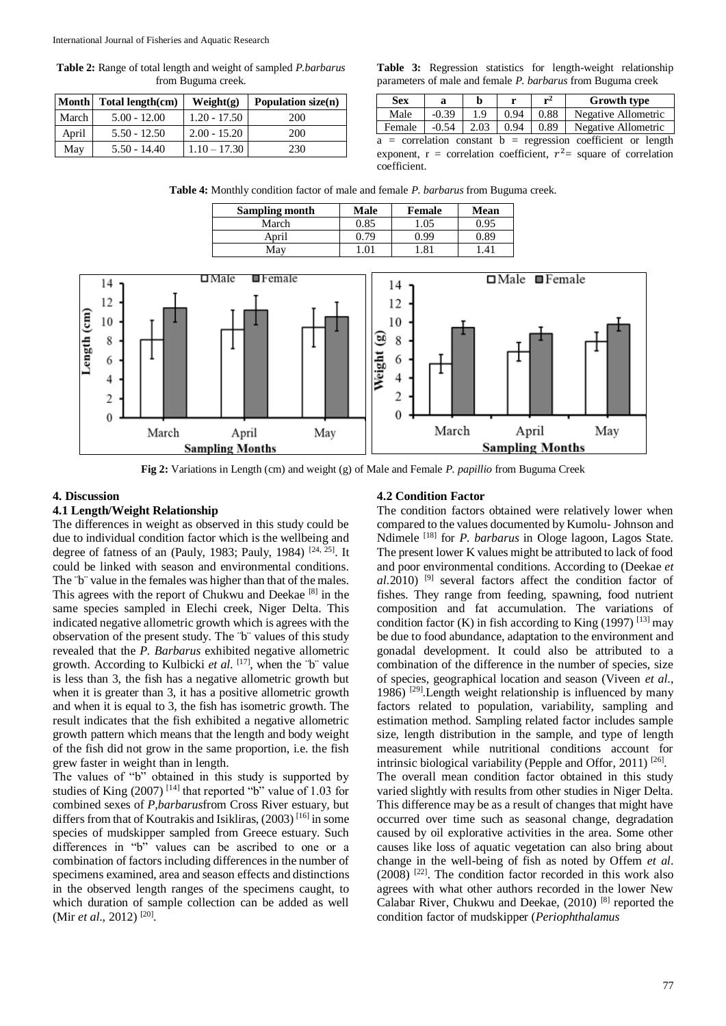**Table 2:** Range of total length and weight of sampled *P.barbarus* from Buguma creek.

|       | Month Total length(cm) | Weight(g)      | Population size $(n)$ |
|-------|------------------------|----------------|-----------------------|
| March | $5.00 - 12.00$         | $1.20 - 17.50$ | 200                   |
| April | $5.50 - 12.50$         | $2.00 - 15.20$ | 200                   |
| May   | $5.50 - 14.40$         | $1.10 - 17.30$ | 230                   |

**Table 3:** Regression statistics for length-weight relationship parameters of male and female *P. barbarus* from Buguma creek

| <b>Sex</b> |         |      |      | شمو  | <b>Growth type</b>  |  |
|------------|---------|------|------|------|---------------------|--|
| Male       | $-0.39$ |      | 0.94 | 0.88 | Negative Allometric |  |
| Female     | $-0.54$ | 2.03 | 0.94 | 0.89 | Negative Allometric |  |
|            |         |      |      |      | $-2$                |  |

 $a =$  correlation constant  $b =$  regression coefficient or length exponent,  $r =$  correlation coefficient,  $r^2 =$  square of correlation coefficient.

**Table 4:** Monthly condition factor of male and female *P. barbarus* from Buguma creek.

| Sampling month | Male | <b>Female</b> | Mean     |
|----------------|------|---------------|----------|
| March          | 0.85 | l.05          | ).95     |
| April          | 0.79 | O 99          | 1.89     |
| Mav            | 0    | $.8^{\prime}$ | $\Delta$ |



**Fig 2:** Variations in Length (cm) and weight (g) of Male and Female *P. papillio* from Buguma Creek

#### **4. Discussion**

#### **4.1 Length/Weight Relationship**

The differences in weight as observed in this study could be due to individual condition factor which is the wellbeing and degree of fatness of an (Pauly, 1983; Pauly, 1984)  $[24, 25]$ . It could be linked with season and environmental conditions. The "b" value in the females was higher than that of the males. This agrees with the report of Chukwu and Deekae [8] in the same species sampled in Elechi creek, Niger Delta. This indicated negative allometric growth which is agrees with the observation of the present study. The ¨b¨ values of this study revealed that the *P. Barbarus* exhibited negative allometric growth. According to Kulbicki *et al*. [17] , when the ¨b¨ value is less than 3, the fish has a negative allometric growth but when it is greater than 3, it has a positive allometric growth and when it is equal to 3, the fish has isometric growth. The result indicates that the fish exhibited a negative allometric growth pattern which means that the length and body weight of the fish did not grow in the same proportion, i.e. the fish grew faster in weight than in length.

The values of "b" obtained in this study is supported by studies of King  $(2007)$ <sup>[14]</sup> that reported "b" value of 1.03 for combined sexes of *P,barbarus*from Cross River estuary*,* but differs from that of Koutrakis and Isikliras, (2003) [16] in some species of mudskipper sampled from Greece estuary. Such differences in "b" values can be ascribed to one or a combination of factors including differences in the number of specimens examined, area and season effects and distinctions in the observed length ranges of the specimens caught, to which duration of sample collection can be added as well (Mir *et al.*, 2012)<sup>[20]</sup>.

#### **4.2 Condition Factor**

The condition factors obtained were relatively lower when compared to the values documented by Kumolu- Johnson and Ndimele [18] for *P. barbarus* in Ologe lagoon, Lagos State. The present lower K values might be attributed to lack of food and poor environmental conditions. According to (Deekae *et*   $aL.2010$ <sup>[9]</sup> several factors affect the condition factor of fishes. They range from feeding, spawning, food nutrient composition and fat accumulation. The variations of condition factor (K) in fish according to King (1997)  $^{[13]}$  may be due to food abundance, adaptation to the environment and gonadal development. It could also be attributed to a combination of the difference in the number of species, size of species, geographical location and season (Viveen *et al*., 1986) [29] .Length weight relationship is influenced by many factors related to population, variability, sampling and estimation method. Sampling related factor includes sample size, length distribution in the sample, and type of length measurement while nutritional conditions account for intrinsic biological variability (Pepple and Offor, 2011)<sup>[26]</sup>. The overall mean condition factor obtained in this study varied slightly with results from other studies in Niger Delta. This difference may be as a result of changes that might have occurred over time such as seasonal change, degradation caused by oil explorative activities in the area. Some other causes like loss of aquatic vegetation can also bring about change in the well-being of fish as noted by Offem *et al*. (2008) [22] . The condition factor recorded in this work also agrees with what other authors recorded in the lower New Calabar River, Chukwu and Deekae, (2010) [8] reported the condition factor of mudskipper (*Periophthalamus*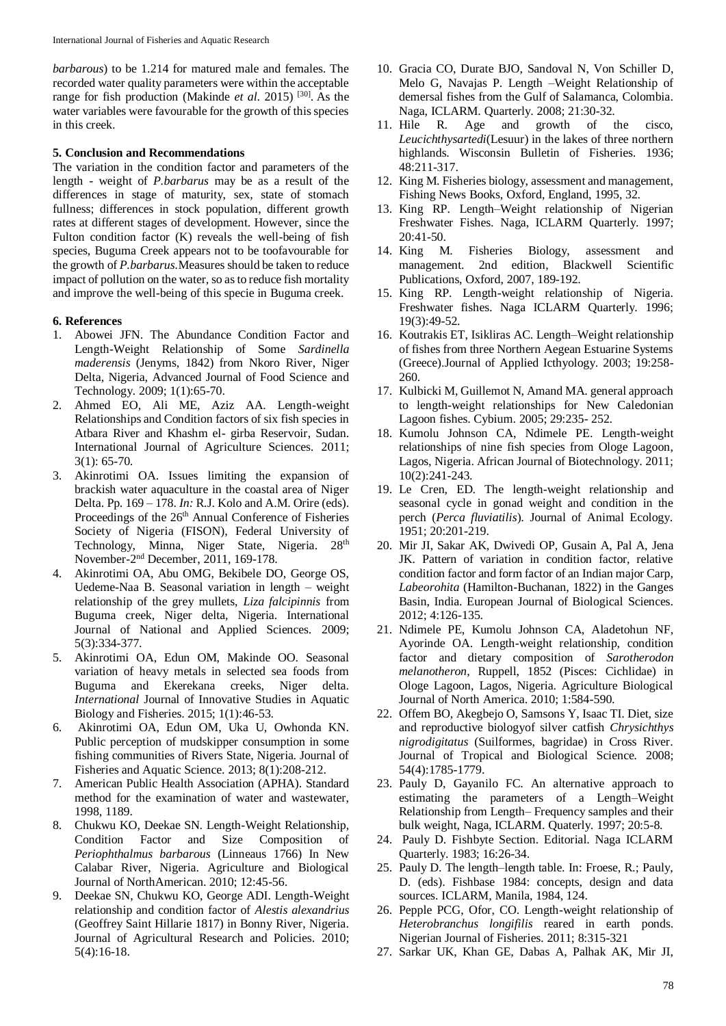*barbarous*) to be 1.214 for matured male and females. The recorded water quality parameters were within the acceptable range for fish production (Makinde *et al.* 2015)<sup>[30]</sup>. As the water variables were favourable for the growth of this species in this creek.

### **5. Conclusion and Recommendations**

The variation in the condition factor and parameters of the length - weight of *P.barbarus* may be as a result of the differences in stage of maturity, sex, state of stomach fullness; differences in stock population, different growth rates at different stages of development. However, since the Fulton condition factor (K) reveals the well-being of fish species, Buguma Creek appears not to be toofavourable for the growth of *P.barbarus.*Measures should be taken to reduce impact of pollution on the water, so as to reduce fish mortality and improve the well-being of this specie in Buguma creek.

### **6. References**

- 1. Abowei JFN. The Abundance Condition Factor and Length-Weight Relationship of Some *Sardinella maderensis* (Jenyms, 1842) from Nkoro River, Niger Delta, Nigeria, Advanced Journal of Food Science and Technology. 2009; 1(1):65-70.
- 2. Ahmed EO, Ali ME, Aziz AA. Length-weight Relationships and Condition factors of six fish species in Atbara River and Khashm el- girba Reservoir, Sudan. International Journal of Agriculture Sciences*.* 2011;  $3(1)$ : 65-70.
- 3. Akinrotimi OA. Issues limiting the expansion of brackish water aquaculture in the coastal area of Niger Delta. Pp. 169 – 178. *In:* R.J. Kolo and A.M. Orire (eds). Proceedings of the 26<sup>th</sup> Annual Conference of Fisheries Society of Nigeria (FISON), Federal University of Technology, Minna, Niger State, Nigeria. 28<sup>th</sup> November-2 nd December, 2011, 169-178.
- 4. Akinrotimi OA, Abu OMG, Bekibele DO, George OS, Uedeme-Naa B. Seasonal variation in length – weight relationship of the grey mullets, *Liza falcipinnis* from Buguma creek, Niger delta, Nigeria. International Journal of National and Applied Sciences. 2009; 5(3):334-377.
- 5. Akinrotimi OA, Edun OM, Makinde OO. Seasonal variation of heavy metals in selected sea foods from Buguma and Ekerekana creeks, Niger delta. *International* Journal of Innovative Studies in Aquatic Biology and Fisheries. 2015; 1(1):46-53.
- 6. Akinrotimi OA, Edun OM, Uka U, Owhonda KN. Public perception of mudskipper consumption in some fishing communities of Rivers State, Nigeria. Journal of Fisheries and Aquatic Science. 2013; 8(1):208-212.
- 7. American Public Health Association (APHA). Standard method for the examination of water and wastewater, 1998, 1189.
- 8. Chukwu KO, Deekae SN. Length-Weight Relationship, Condition Factor and Size Composition of *Periophthalmus barbarous* (Linneaus 1766) In New Calabar River, Nigeria. Agriculture and Biological Journal of NorthAmerican. 2010; 12:45-56.
- 9. Deekae SN, Chukwu KO, George ADI. Length-Weight relationship and condition factor of *Alestis alexandrius* (Geoffrey Saint Hillarie 1817) in Bonny River, Nigeria. Journal of Agricultural Research and Policies. 2010; 5(4):16-18.
- 10. Gracia CO, Durate BJO, Sandoval N, Von Schiller D, Melo G, Navajas P. Length –Weight Relationship of demersal fishes from the Gulf of Salamanca, Colombia. Naga, ICLARM. Quarterly. 2008; 21:30-32.
- 11. Hile R. Age and growth of the cisco, *Leucichthysartedi*(Lesuur) in the lakes of three northern highlands. Wisconsin Bulletin of Fisheries*.* 1936; 48:211-317.
- 12. King M. Fisheries biology, assessment and management, Fishing News Books, Oxford, England, 1995, 32.
- 13. King RP. Length–Weight relationship of Nigerian Freshwater Fishes. Naga, ICLARM Quarterly. 1997; 20:41-50.
- 14. King M. Fisheries Biology, assessment and management. 2nd edition, Blackwell Scientific Publications, Oxford, 2007, 189-192.
- 15. King RP. Length-weight relationship of Nigeria. Freshwater fishes. Naga ICLARM Quarterly. 1996; 19(3):49-52.
- 16. Koutrakis ET, Isikliras AC. Length–Weight relationship of fishes from three Northern Aegean Estuarine Systems (Greece).Journal of Applied Icthyology. 2003; 19:258- 260.
- 17. Kulbicki M, Guillemot N, Amand MA. general approach to length-weight relationships for New Caledonian Lagoon fishes. Cybium. 2005; 29:235- 252.
- 18. Kumolu Johnson CA, Ndimele PE. Length-weight relationships of nine fish species from Ologe Lagoon, Lagos, Nigeria. African Journal of Biotechnology. 2011; 10(2):241-243.
- 19. Le Cren, ED. The length-weight relationship and seasonal cycle in gonad weight and condition in the perch (*Perca fluviatilis*). Journal of Animal Ecology. 1951; 20:201-219.
- 20. Mir JI, Sakar AK, Dwivedi OP, Gusain A, Pal A, Jena JK. Pattern of variation in condition factor, relative condition factor and form factor of an Indian major Carp, *Labeorohita* (Hamilton-Buchanan, 1822) in the Ganges Basin, India. European Journal of Biological Sciences. 2012; 4:126-135.
- 21. Ndimele PE, Kumolu Johnson CA, Aladetohun NF, Ayorinde OA. Length-weight relationship, condition factor and dietary composition of *Sarotherodon melanotheron*, Ruppell, 1852 (Pisces: Cichlidae) in Ologe Lagoon, Lagos, Nigeria. Agriculture Biological Journal of North America. 2010; 1:584-590.
- 22. Offem BO, Akegbejo O, Samsons Y, Isaac TI. Diet, size and reproductive biologyof silver catfish *Chrysichthys nigrodigitatus* (Suilformes, bagridae) in Cross River. Journal of Tropical and Biological Science*.* 2008; 54(4):1785-1779.
- 23. Pauly D, Gayanilo FC. An alternative approach to estimating the parameters of a Length–Weight Relationship from Length– Frequency samples and their bulk weight, Naga, ICLARM. Quaterly. 1997; 20:5-8.
- 24. Pauly D. Fishbyte Section. Editorial. Naga ICLARM Quarterly. 1983; 16:26-34.
- 25. Pauly D. The length–length table. In: Froese, R.; Pauly, D. (eds). Fishbase 1984: concepts, design and data sources. ICLARM, Manila, 1984, 124.
- 26. Pepple PCG, Ofor, CO. Length-weight relationship of *Heterobranchus longifilis* reared in earth ponds. Nigerian Journal of Fisheries*.* 2011; 8:315-321
- 27. Sarkar UK, Khan GE, Dabas A, Palhak AK, Mir JI,